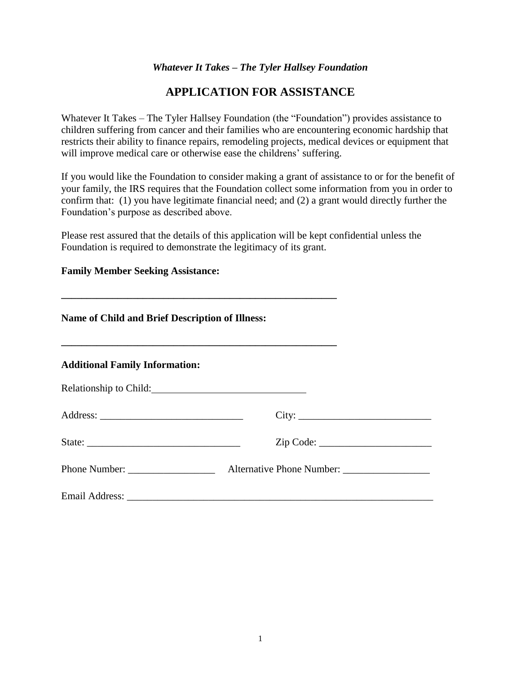### *Whatever It Takes – The Tyler Hallsey Foundation*

# **APPLICATION FOR ASSISTANCE**

Whatever It Takes – The Tyler Hallsey Foundation (the "Foundation") provides assistance to children suffering from cancer and their families who are encountering economic hardship that restricts their ability to finance repairs, remodeling projects, medical devices or equipment that will improve medical care or otherwise ease the childrens' suffering.

If you would like the Foundation to consider making a grant of assistance to or for the benefit of your family, the IRS requires that the Foundation collect some information from you in order to confirm that: (1) you have legitimate financial need; and (2) a grant would directly further the Foundation's purpose as described above.

Please rest assured that the details of this application will be kept confidential unless the Foundation is required to demonstrate the legitimacy of its grant.

#### **Family Member Seeking Assistance:**

| <b>Name of Child and Brief Description of Illness:</b> |           |  |  |
|--------------------------------------------------------|-----------|--|--|
| <b>Additional Family Information:</b>                  |           |  |  |
|                                                        |           |  |  |
|                                                        | City:     |  |  |
|                                                        | Zip Code: |  |  |
|                                                        |           |  |  |
|                                                        |           |  |  |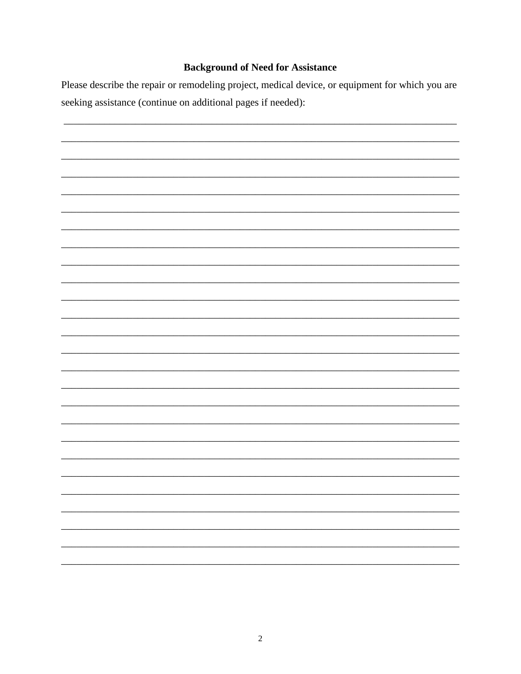## **Background of Need for Assistance**

Please describe the repair or remodeling project, medical device, or equipment for which you are seeking assistance (continue on additional pages if needed):